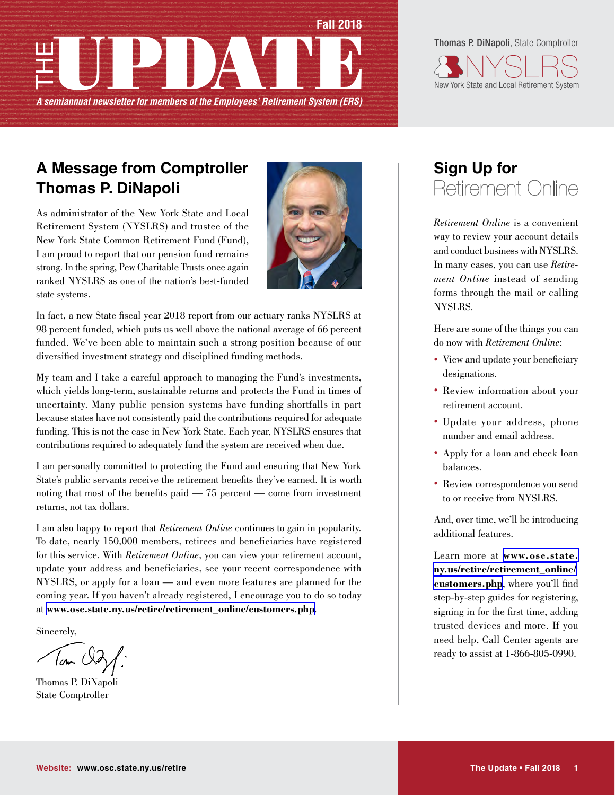

Thomas P. DiNapoli, State Comptroller



# **A Message from Comptroller Thomas P. DiNapoli**

As administrator of the New York State and Local Retirement System (NYSLRS) and trustee of the New York State Common Retirement Fund (Fund), I am proud to report that our pension fund remains strong. In the spring, Pew Charitable Trusts once again ranked NYSLRS as one of the nation's best-funded state systems.



In fact, a new State fiscal year 2018 report from our actuary ranks NYSLRS at 98 percent funded, which puts us well above the national average of 66 percent funded. We've been able to maintain such a strong position because of our diversified investment strategy and disciplined funding methods.

My team and I take a careful approach to managing the Fund's investments, which yields long-term, sustainable returns and protects the Fund in times of uncertainty. Many public pension systems have funding shortfalls in part because states have not consistently paid the contributions required for adequate funding. This is not the case in New York State. Each year, NYSLRS ensures that contributions required to adequately fund the system are received when due.

I am personally committed to protecting the Fund and ensuring that New York State's public servants receive the retirement benefits they've earned. It is worth noting that most of the benefits paid — 75 percent — come from investment returns, not tax dollars.

I am also happy to report that *Retirement Online* continues to gain in popularity. To date, nearly 150,000 members, retirees and beneficiaries have registered for this service. With *Retirement Online*, you can view your retirement account, update your address and beneficiaries, see your recent correspondence with NYSLRS, or apply for a loan — and even more features are planned for the coming year. If you haven't already registered, I encourage you to do so today at **[www.osc.state.ny.us/retire/retirement\\_online/customers.php](http://www.osc.state.ny.us/retire/retirement_online/customers.php)**.

Sincerely,

Tom Old

Thomas P. DiNapoli State Comptroller

# **Sign Up for** Retirement Online

*Retirement Online* is a convenient way to review your account details and conduct business with NYSLRS. In many cases, you can use *Retirement Online* instead of sending forms through the mail or calling NYSLRS.

Here are some of the things you can do now with *Retirement Online*:

- View and update your beneficiary designations.
- Review information about your retirement account.
- Update your address, phone number and email address.
- Apply for a loan and check loan balances.
- Review correspondence you send to or receive from NYSLRS.

And, over time, we'll be introducing additional features.

Learn more at **[www.osc.state.](http://www.osc.state.ny.us/retire/retirement_online/customers.php) [ny.us/retire/retirement\\_online/](http://www.osc.state.ny.us/retire/retirement_online/customers.php) [customers.php](http://www.osc.state.ny.us/retire/retirement_online/customers.php)**, where you'll find step-by-step guides for registering, signing in for the first time, adding trusted devices and more. If you need help, Call Center agents are ready to assist at 1-866-805-0990.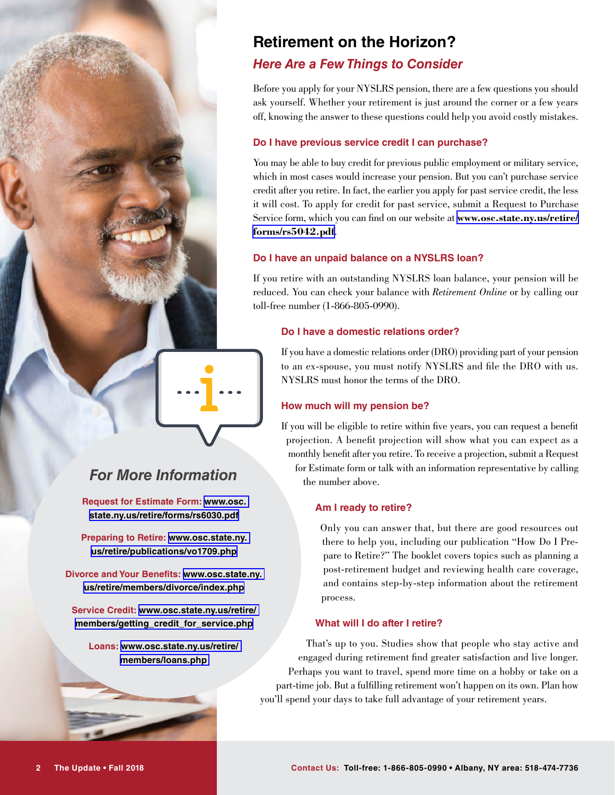# **Retirement on the Horizon?**

## *Here Are a Few Things to Consider*

Before you apply for your NYSLRS pension, there are a few questions you should ask yourself. Whether your retirement is just around the corner or a few years off, knowing the answer to these questions could help you avoid costly mistakes.

## **Do I have previous service credit I can purchase?**

You may be able to buy credit for previous public employment or military service, which in most cases would increase your pension. But you can't purchase service credit after you retire. In fact, the earlier you apply for past service credit, the less it will cost. To apply for credit for past service, submit a Request to Purchase Service form, which you can find on our website at **[www.osc.state.ny.us/retire/](http://www.osc.state.ny.us/retire/forms/rs5042.pdf) [forms/rs5042.pdf](http://www.osc.state.ny.us/retire/forms/rs5042.pdf)**.

#### **Do I have an unpaid balance on a NYSLRS loan?**

If you retire with an outstanding NYSLRS loan balance, your pension will be reduced. You can check your balance with *Retirement Online* or by calling our toll-free number (1-866-805-0990).

#### **Do I have a domestic relations order?**

If you have a domestic relations order (DRO) providing part of your pension to an ex-spouse, you must notify NYSLRS and file the DRO with us. NYSLRS must honor the terms of the DRO.

## **How much will my pension be?**

If you will be eligible to retire within five years, you can request a benefit projection. A benefit projection will show what you can expect as a monthly benefit after you retire. To receive a projection, submit a Request for Estimate form or talk with an information representative by calling the number above.

### **Am I ready to retire?**

Only you can answer that, but there are good resources out there to help you, including our publication "How Do I Prepare to Retire?" The booklet covers topics such as planning a post-retirement budget and reviewing health care coverage, and contains step-by-step information about the retirement process.

### **What will I do after I retire?**

That's up to you. Studies show that people who stay active and engaged during retirement find greater satisfaction and live longer. Perhaps you want to travel, spend more time on a hobby or take on a part-time job. But a fulfilling retirement won't happen on its own. Plan how you'll spend your days to take full advantage of your retirement years.

# *For More Information*

**Request for Estimate Form: [www.osc.](http://www.osc.state.ny.us/retire/forms/rs6030.pdf) [state.ny.us/retire/forms/rs6030.pdf](http://www.osc.state.ny.us/retire/forms/rs6030.pdf)**

**Preparing to Retire: [www.osc.state.ny.](http://www.osc.state.ny.us/retire/publications/vo1709.php) [us/retire/publications/vo1709.php](http://www.osc.state.ny.us/retire/publications/vo1709.php)**

**Divorce and Your Benefits: [www.osc.state.ny.](http://www.osc.state.ny.us/retire/members/divorce/index.php) [us/retire/members/divorce/index.php](http://www.osc.state.ny.us/retire/members/divorce/index.php)**

**Service Credit: [www.osc.state.ny.us/retire/](http://www.osc.state.ny.us/retire/members/getting_credit_for_service.php) [members/getting\\_credit\\_for\\_service.php](http://www.osc.state.ny.us/retire/members/getting_credit_for_service.php)**

**Loans: [www.osc.state.ny.us/retire/](http://www.osc.state.ny.us/retire/members/loans.php) [members/loans.php](http://www.osc.state.ny.us/retire/members/loans.php)**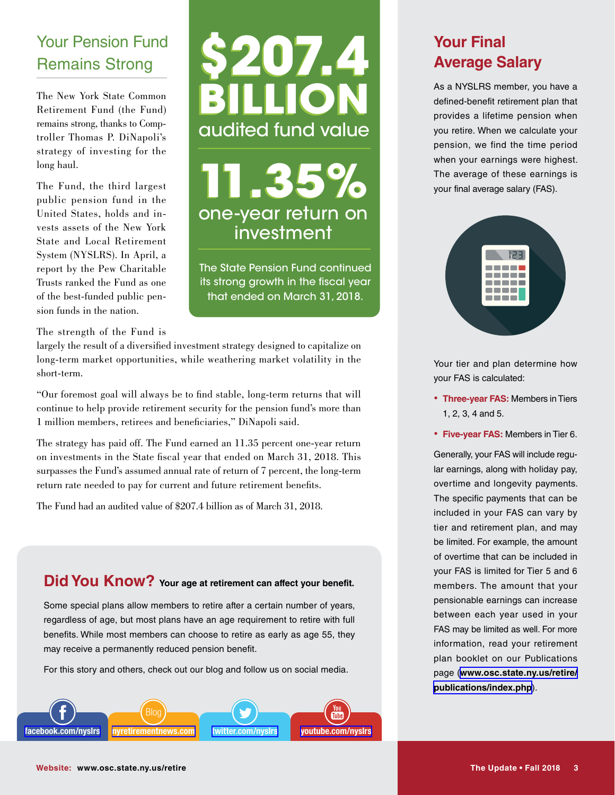# Your Pension Fund Remains Strong

The New York State Common Retirement Fund (the Fund) remains strong, thanks to Comptroller Thomas P. DiNapoli's strategy of investing for the long haul.

The Fund, the third largest public pension fund in the United States, holds and invests assets of the New York State and Local Retirement System (NYSLRS). In April, a report by the Pew Charitable Trusts ranked the Fund as one of the best-funded public pension funds in the nation.

# **\$207.4 \$207.4 BILLION BILLION** audited fund value

**11.35% 11.35%** one-year return on investment

The State Pension Fund continued its strong growth in the fiscal year that ended on March 31, 2018.

## The strength of the Fund is

largely the result of a diversified investment strategy designed to capitalize on long-term market opportunities, while weathering market volatility in the short-term.

"Our foremost goal will always be to find stable, long-term returns that will continue to help provide retirement security for the pension fund's more than 1 million members, retirees and beneficiaries," DiNapoli said.

The strategy has paid off. The Fund earned an 11.35 percent one-year return on investments in the State fiscal year that ended on March 31, 2018. This surpasses the Fund's assumed annual rate of return of 7 percent, the long-term return rate needed to pay for current and future retirement benefits.

The Fund had an audited value of \$207.4 billion as of March 31, 2018.

## **Did You Know? Your age at retirement can affect your benefit.**

Some special plans allow members to retire after a certain number of years, regardless of age, but most plans have an age requirement to retire with full benefits. While most members can choose to retire as early as age 55, they may receive a permanently reduced pension benefit.

For this story and others, check out our blog and follow us on social media.



# **Your Final Average Salary**

As a NYSLRS member, you have a defined-benefit retirement plan that provides a lifetime pension when you retire. When we calculate your pension, we find the time period when your earnings were highest. The average of these earnings is your final average salary (FAS).



Your tier and plan determine how your FAS is calculated:

- **Three-year FAS:** Members in Tiers 1, 2, 3, 4 and 5.
- **Five-year FAS:** Members in Tier 6.

Generally, your FAS will include regular earnings, along with holiday pay, overtime and longevity payments. The specific payments that can be included in your FAS can vary by tier and retirement plan, and may be limited. For example, the amount of overtime that can be included in your FAS is limited for Tier 5 and 6 members. The amount that your pensionable earnings can increase between each year used in your FAS may be limited as well. For more information, read your retirement plan booklet on our Publications page (**[www.osc.state.ny.us/retire/](http://www.osc.state.ny.us/retire/publications/index.php) [publications/index.php](http://www.osc.state.ny.us/retire/publications/index.php)**).